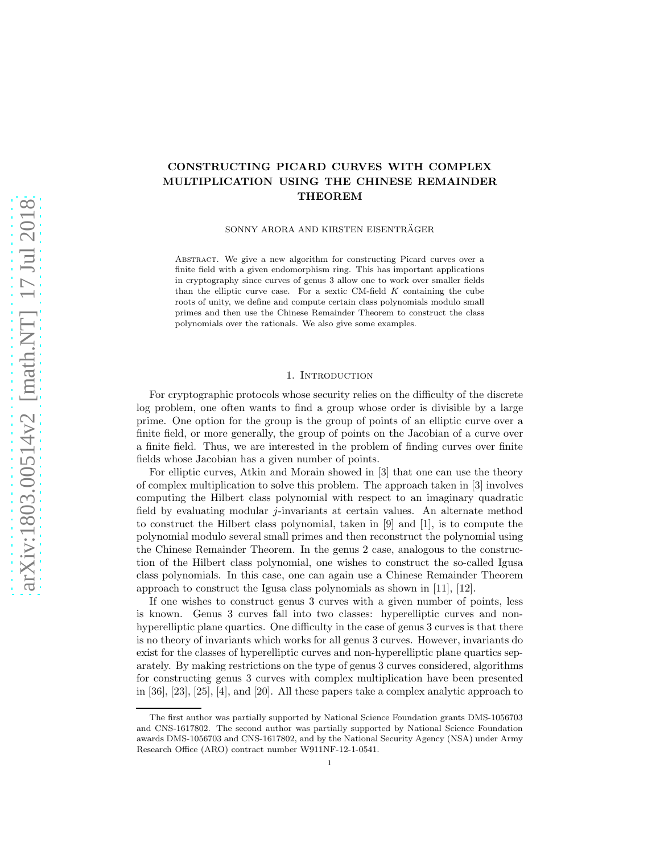# CONSTRUCTING PICARD CURVES WITH COMPLEX MULTIPLICATION USING THE CHINESE REMAINDER THEOREM

SONNY ARORA AND KIRSTEN EISENTRÄGER

Abstract. We give a new algorithm for constructing Picard curves over a finite field with a given endomorphism ring. This has important applications in cryptography since curves of genus 3 allow one to work over smaller fields than the elliptic curve case. For a sextic CM-field  $K$  containing the cube roots of unity, we define and compute certain class polynomials modulo small primes and then use the Chinese Remainder Theorem to construct the class polynomials over the rationals. We also give some examples.

### 1. INTRODUCTION

For cryptographic protocols whose security relies on the difficulty of the discrete log problem, one often wants to find a group whose order is divisible by a large prime. One option for the group is the group of points of an elliptic curve over a finite field, or more generally, the group of points on the Jacobian of a curve over a finite field. Thus, we are interested in the problem of finding curves over finite fields whose Jacobian has a given number of points.

For elliptic curves, Atkin and Morain showed in [\[3\]](#page-13-0) that one can use the theory of complex multiplication to solve this problem. The approach taken in [\[3\]](#page-13-0) involves computing the Hilbert class polynomial with respect to an imaginary quadratic field by evaluating modular j-invariants at certain values. An alternate method to construct the Hilbert class polynomial, taken in [\[9\]](#page-13-1) and [\[1\]](#page-13-2), is to compute the polynomial modulo several small primes and then reconstruct the polynomial using the Chinese Remainder Theorem. In the genus 2 case, analogous to the construction of the Hilbert class polynomial, one wishes to construct the so-called Igusa class polynomials. In this case, one can again use a Chinese Remainder Theorem approach to construct the Igusa class polynomials as shown in [\[11\]](#page-13-3), [\[12\]](#page-13-4).

If one wishes to construct genus 3 curves with a given number of points, less is known. Genus 3 curves fall into two classes: hyperelliptic curves and nonhyperelliptic plane quartics. One difficulty in the case of genus 3 curves is that there is no theory of invariants which works for all genus 3 curves. However, invariants do exist for the classes of hyperelliptic curves and non-hyperelliptic plane quartics separately. By making restrictions on the type of genus 3 curves considered, algorithms for constructing genus 3 curves with complex multiplication have been presented in [\[36\]](#page-14-0), [\[23\]](#page-14-1), [\[25\]](#page-14-2), [\[4\]](#page-13-5), and [\[20\]](#page-14-3). All these papers take a complex analytic approach to

The first author was partially supported by National Science Foundation grants DMS-1056703 and CNS-1617802. The second author was partially supported by National Science Foundation awards DMS-1056703 and CNS-1617802, and by the National Security Agency (NSA) under Army Research Office (ARO) contract number W911NF-12-1-0541.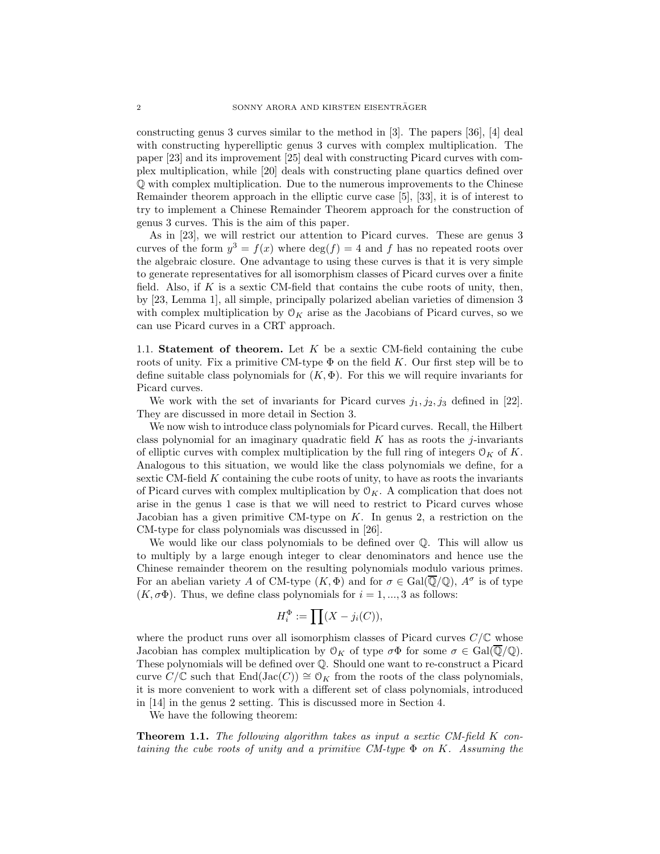constructing genus 3 curves similar to the method in [\[3\]](#page-13-0). The papers [\[36\]](#page-14-0), [\[4\]](#page-13-5) deal with constructing hyperelliptic genus 3 curves with complex multiplication. The paper [\[23\]](#page-14-1) and its improvement [\[25\]](#page-14-2) deal with constructing Picard curves with complex multiplication, while [\[20\]](#page-14-3) deals with constructing plane quartics defined over Q with complex multiplication. Due to the numerous improvements to the Chinese Remainder theorem approach in the elliptic curve case [\[5\]](#page-13-6), [\[33\]](#page-14-4), it is of interest to try to implement a Chinese Remainder Theorem approach for the construction of genus 3 curves. This is the aim of this paper.

As in [\[23\]](#page-14-1), we will restrict our attention to Picard curves. These are genus 3 curves of the form  $y^3 = f(x)$  where  $\deg(f) = 4$  and f has no repeated roots over the algebraic closure. One advantage to using these curves is that it is very simple to generate representatives for all isomorphism classes of Picard curves over a finite field. Also, if K is a sextic CM-field that contains the cube roots of unity, then, by [\[23,](#page-14-1) Lemma 1], all simple, principally polarized abelian varieties of dimension 3 with complex multiplication by  $O_K$  arise as the Jacobians of Picard curves, so we can use Picard curves in a CRT approach.

1.1. Statement of theorem. Let  $K$  be a sextic CM-field containing the cube roots of unity. Fix a primitive CM-type  $\Phi$  on the field K. Our first step will be to define suitable class polynomials for  $(K, \Phi)$ . For this we will require invariants for Picard curves.

We work with the set of invariants for Picard curves  $j_1, j_2, j_3$  defined in [\[22\]](#page-14-5). They are discussed in more detail in Section [3.](#page-4-0)

We now wish to introduce class polynomials for Picard curves. Recall, the Hilbert class polynomial for an imaginary quadratic field  $K$  has as roots the j-invariants of elliptic curves with complex multiplication by the full ring of integers  $\mathcal{O}_K$  of K. Analogous to this situation, we would like the class polynomials we define, for a sextic CM-field K containing the cube roots of unity, to have as roots the invariants of Picard curves with complex multiplication by  $\mathcal{O}_K$ . A complication that does not arise in the genus 1 case is that we will need to restrict to Picard curves whose Jacobian has a given primitive CM-type on  $K$ . In genus 2, a restriction on the CM-type for class polynomials was discussed in [\[26\]](#page-14-6).

We would like our class polynomials to be defined over Q. This will allow us to multiply by a large enough integer to clear denominators and hence use the Chinese remainder theorem on the resulting polynomials modulo various primes. For an abelian variety A of CM-type  $(K, \Phi)$  and for  $\sigma \in \text{Gal}(\overline{\mathbb{Q}}/\mathbb{Q})$ ,  $A^{\sigma}$  is of type  $(K, \sigma \Phi)$ . Thus, we define class polynomials for  $i = 1, ..., 3$  as follows:

$$
H_i^{\Phi} := \prod (X - j_i(C)),
$$

where the product runs over all isomorphism classes of Picard curves  $C/\mathbb{C}$  whose Jacobian has complex multiplication by  $\mathcal{O}_K$  of type  $\sigma\Phi$  for some  $\sigma \in \text{Gal}(\overline{\mathbb{Q}}/\mathbb{Q})$ . These polynomials will be defined over Q. Should one want to re-construct a Picard curve  $C/\mathbb{C}$  such that  $\text{End}(\text{Jac}(C)) \cong \mathcal{O}_K$  from the roots of the class polynomials, it is more convenient to work with a different set of class polynomials, introduced in [\[14\]](#page-14-7) in the genus 2 setting. This is discussed more in Section [4.](#page-5-0)

We have the following theorem:

**Theorem 1.1.** The following algorithm takes as input a sextic CM-field K containing the cube roots of unity and a primitive  $CM$ -type  $\Phi$  on K. Assuming the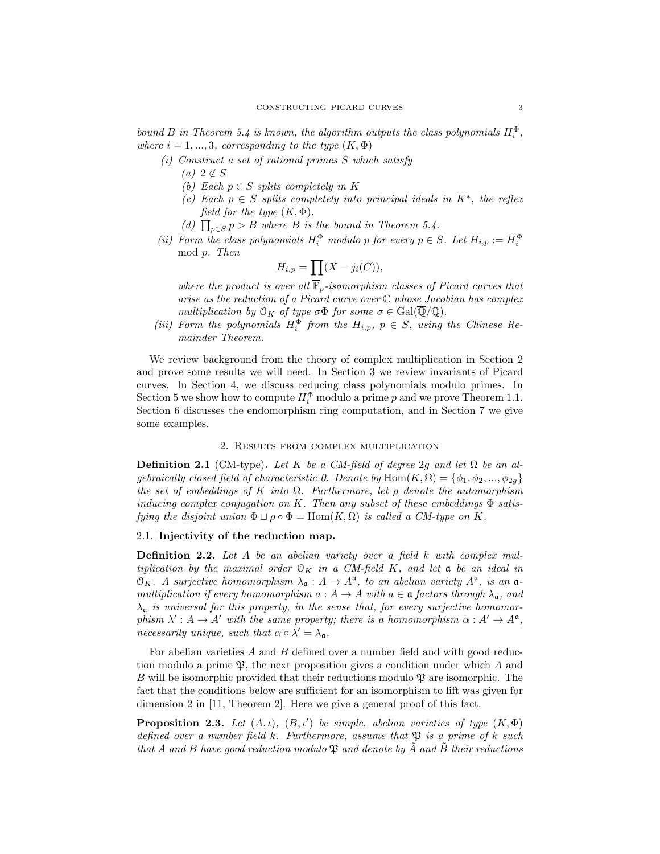bound B in Theorem [5.4](#page-9-0) is known, the algorithm outputs the class polynomials  $H_i^{\Phi}$ , where  $i = 1, ..., 3$ , corresponding to the type  $(K, \Phi)$ 

- (i) Construct a set of rational primes S which satisfy
	- $(a)$  2  $\notin S$
	- (b) Each  $p \in S$  splits completely in K
	- (c) Each  $p \in S$  splits completely into principal ideals in  $K^*$ , the reflex field for the type  $(K, \Phi)$ .
	- (d)  $\prod_{p\in S} p > B$  where B is the bound in Theorem [5.4.](#page-9-0)
- (ii) Form the class polynomials  $H_i^{\Phi}$  modulo p for every  $p \in S$ . Let  $H_{i,p} := H_i^{\Phi}$ mod p. Then

$$
H_{i,p} = \prod (X - j_i(C)),
$$

where the product is over all  $\overline{\mathbb{F}}_p$ -isomorphism classes of Picard curves that arise as the reduction of a Picard curve over  $\mathbb C$  whose Jacobian has complex multiplication by  $\mathfrak{O}_K$  of type  $\sigma\Phi$  for some  $\sigma \in \text{Gal}(\overline{\mathbb{Q}}/\mathbb{Q})$ .

<span id="page-2-1"></span>(iii) Form the polynomials  $H_i^{\Phi}$  from the  $H_{i,p}$ ,  $p \in S$ , using the Chinese Remainder Theorem.

We review background from the theory of complex multiplication in Section [2](#page-2-0) and prove some results we will need. In Section [3](#page-4-0) we review invariants of Picard curves. In Section [4,](#page-5-0) we discuss reducing class polynomials modulo primes. In Section [5](#page-7-0) we show how to compute  $H_i^{\Phi}$  modulo a prime p and we prove Theorem [1.1.](#page-2-1) Section [6](#page-9-1) discusses the endomorphism ring computation, and in Section [7](#page-12-0) we give some examples.

### 2. Results from complex multiplication

<span id="page-2-0"></span>**Definition 2.1** (CM-type). Let K be a CM-field of degree 2g and let  $\Omega$  be an algebraically closed field of characteristic 0. Denote by  $\text{Hom}(K, \Omega) = \{\phi_1, \phi_2, ..., \phi_{2g}\}\$ the set of embeddings of K into  $\Omega$ . Furthermore, let  $\rho$  denote the automorphism inducing complex conjugation on K. Then any subset of these embeddings  $\Phi$  satisfying the disjoint union  $\Phi \sqcup \rho \circ \Phi = \text{Hom}(K, \Omega)$  is called a CM-type on K.

## 2.1. Injectivity of the reduction map.

**Definition 2.2.** Let  $A$  be an abelian variety over a field  $k$  with complex multiplication by the maximal order  $\mathcal{O}_K$  in a CM-field K, and let  $\mathfrak a$  be an ideal in  $\mathfrak{O}_K$ . A surjective homomorphism  $\lambda_{\mathfrak{a}} : A \to A^{\mathfrak{a}}$ , to an abelian variety  $A^{\mathfrak{a}}$ , is an  $\mathfrak{a}$ multiplication if every homomorphism  $a: A \to A$  with  $a \in \mathfrak{a}$  factors through  $\lambda_{\mathfrak{a}}$ , and  $\lambda_{\mathfrak{a}}$  is universal for this property, in the sense that, for every surjective homomorphism  $\lambda' : A \to A'$  with the same property; there is a homomorphism  $\alpha : A' \to A^{\mathfrak{a}}$ , necessarily unique, such that  $\alpha \circ \lambda' = \lambda_{\mathfrak{a}}$ .

For abelian varieties  $A$  and  $B$  defined over a number field and with good reduction modulo a prime  $\mathfrak{P}$ , the next proposition gives a condition under which A and B will be isomorphic provided that their reductions modulo  $\mathfrak{P}$  are isomorphic. The fact that the conditions below are sufficient for an isomorphism to lift was given for dimension 2 in [\[11,](#page-13-3) Theorem 2]. Here we give a general proof of this fact.

<span id="page-2-2"></span>**Proposition 2.3.** Let  $(A, \iota)$ ,  $(B, \iota')$  be simple, abelian varieties of type  $(K, \Phi)$ defined over a number field k. Furthermore, assume that  $\mathfrak{P}$  is a prime of k such that A and B have good reduction modulo  $\mathfrak P$  and denote by  $\tilde A$  and  $\tilde B$  their reductions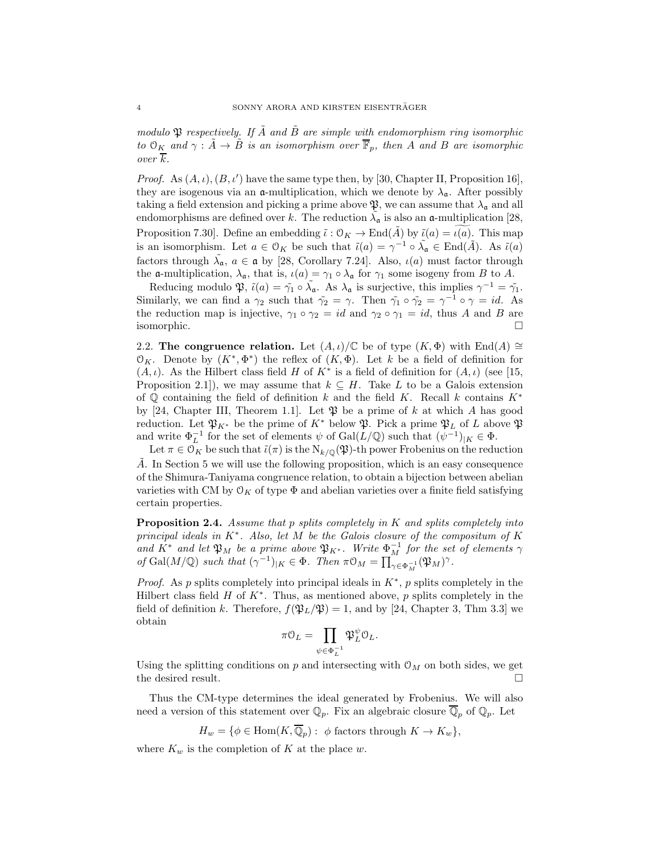modulo  $\mathfrak P$  respectively. If A and B are simple with endomorphism ring isomorphic to  $\mathcal{O}_K$  and  $\gamma : \tilde{A} \to \tilde{B}$  is an isomorphism over  $\overline{\mathbb{F}}_p$ , then A and B are isomorphic over  $\overline{k}$ .

*Proof.* As  $(A, \iota), (B, \iota')$  have the same type then, by [\[30,](#page-14-8) Chapter II, Proposition 16], they are isogenous via an  $\alpha$ -multiplication, which we denote by  $\lambda_{\alpha}$ . After possibly taking a field extension and picking a prime above  $\mathfrak{P}$ , we can assume that  $\lambda_{\mathfrak{a}}$  and all endomorphisms are defined over k. The reduction  $\tilde{\lambda}_{\mathfrak{a}}$  is also an  $\mathfrak{a}$ -multiplication [\[28,](#page-14-9) Proposition 7.30]. Define an embedding  $\tilde{\iota}: \mathcal{O}_K \to \text{End}(A)$  by  $\tilde{\iota}(a) = \iota(a)$ . This map is an isomorphism. Let  $a \in \mathcal{O}_K$  be such that  $\tilde{\iota}(a) = \gamma^{-1} \circ \tilde{\lambda}_a \in \text{End}(\tilde{A})$ . As  $\tilde{\iota}(a)$ factors through  $\tilde{\lambda}_{\mathfrak{a}}$ ,  $a \in \mathfrak{a}$  by [\[28,](#page-14-9) Corollary 7.24]. Also,  $\iota(a)$  must factor through the **a**-multiplication,  $\lambda_{\mathfrak{a}}$ , that is,  $\iota(a) = \gamma_1 \circ \lambda_{\mathfrak{a}}$  for  $\gamma_1$  some isogeny from B to A.

Reducing modulo  $\mathfrak{P}, \tilde{\iota}(a) = \tilde{\gamma}_1 \circ \tilde{\lambda}_a$ . As  $\lambda_a$  is surjective, this implies  $\gamma^{-1} = \tilde{\gamma}_1$ . Similarly, we can find a  $\gamma_2$  such that  $\tilde{\gamma_2} = \gamma$ . Then  $\tilde{\gamma_1} \circ \tilde{\gamma_2} = \gamma^{-1} \circ \gamma = id$ . As the reduction map is injective,  $\gamma_1 \circ \gamma_2 = id$  and  $\gamma_2 \circ \gamma_1 = id$ , thus A and B are isomorphic.

2.2. The congruence relation. Let  $(A, \iota)/\mathbb{C}$  be of type  $(K, \Phi)$  with End $(A) \cong$ O<sub>K</sub>. Denote by  $(K^*, \Phi^*)$  the reflex of  $(K, \Phi)$ . Let k be a field of definition for  $(A, \iota)$ . As the Hilbert class field H of  $K^*$  is a field of definition for  $(A, \iota)$  (see [\[15,](#page-14-10) Proposition 2.1]), we may assume that  $k \subseteq H$ . Take L to be a Galois extension of  $\mathbb Q$  containing the field of definition k and the field K. Recall k contains  $K^*$ by [\[24,](#page-14-11) Chapter III, Theorem 1.1]. Let  $\mathfrak P$  be a prime of k at which A has good reduction. Let  $\mathfrak{P}_{K^*}$  be the prime of  $K^*$  below  $\mathfrak{P}$ . Pick a prime  $\mathfrak{P}_L$  of L above  $\mathfrak{P}$ and write  $\Phi_L^{-1}$  for the set of elements  $\psi$  of  $Gal(L/\mathbb{Q})$  such that  $(\psi^{-1})_{|K} \in \Phi$ .

Let  $\pi \in \mathcal{O}_K$  be such that  $\tilde{\iota}(\pi)$  is the  $N_{k/\mathbb{Q}}(\mathfrak{P})$ -th power Frobenius on the reduction A. In Section [5](#page-7-0) we will use the following proposition, which is an easy consequence of the Shimura-Taniyama congruence relation, to obtain a bijection between abelian varieties with CM by  $\mathfrak{O}_K$  of type  $\Phi$  and abelian varieties over a finite field satisfying certain properties.

<span id="page-3-0"></span>**Proposition 2.4.** Assume that p splits completely in K and splits completely into principal ideals in K<sup>\*</sup>. Also, let M be the Galois closure of the compositum of K and  $K^*$  and let  $\mathfrak{P}_M$  be a prime above  $\mathfrak{P}_{K^*}$ . Write  $\Phi_M^{-1}$  for the set of elements  $\gamma$ of Gal(M/Q) such that  $({\gamma}^{-1})_{|K} \in \Phi$ . Then  $\pi \mathcal{O}_M = \prod_{\gamma \in \Phi_M^{-1}}^{\infty} (\mathfrak{P}_M)^\gamma$ .

*Proof.* As p splits completely into principal ideals in  $K^*$ , p splits completely in the Hilbert class field  $H$  of  $K^*$ . Thus, as mentioned above,  $p$  splits completely in the field of definition k. Therefore,  $f(\mathfrak{P}_L/\mathfrak{P}) = 1$ , and by [\[24,](#page-14-11) Chapter 3, Thm 3.3] we obtain

$$
\pi \mathcal{O}_L = \prod_{\psi \in \Phi_L^{-1}} \mathfrak{P}_L^{\psi} \mathcal{O}_L.
$$

Using the splitting conditions on p and intersecting with  $\mathcal{O}_M$  on both sides, we get the desired result.

Thus the CM-type determines the ideal generated by Frobenius. We will also need a version of this statement over  $\mathbb{Q}_p$ . Fix an algebraic closure  $\overline{\mathbb{Q}}_p$  of  $\mathbb{Q}_p$ . Let

$$
H_w = \{ \phi \in \text{Hom}(K, \overline{\mathbb{Q}}_p) : \phi \text{ factors through } K \to K_w \},
$$

where  $K_w$  is the completion of K at the place w.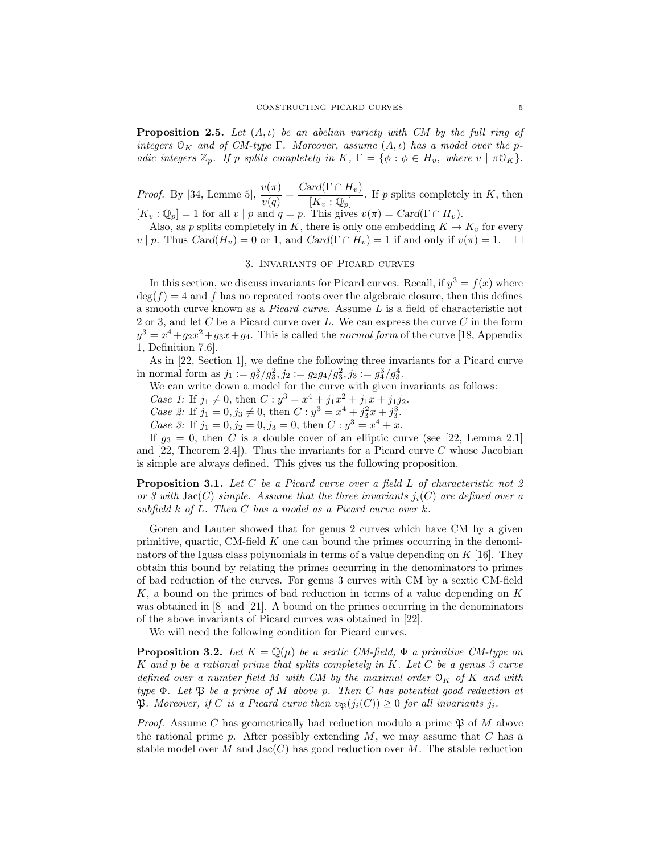<span id="page-4-3"></span>**Proposition 2.5.** Let  $(A, \iota)$  be an abelian variety with CM by the full ring of integers  $\mathcal{O}_K$  and of CM-type  $\Gamma$ . Moreover, assume  $(A, \iota)$  has a model over the padic integers  $\mathbb{Z}_p$ . If p splits completely in K,  $\Gamma = \{ \phi : \phi \in H_v, \text{ where } v \mid \pi \mathbb{O}_K \}.$ 

*Proof.* By [\[34,](#page-14-12) Lemme 5],  $\frac{v(\pi)}{v(q)} = \frac{\text{Card}(\Gamma \cap H_v)}{[K_v : \mathbb{Q}_p]}$  $K_v : \overline{\Psi}_v$ . If p splits completely in K, then  $[K_v : \mathbb{Q}_p] = 1$  for all  $v | p$  and  $q = p$ . This gives  $v(\pi) = \text{Card}(\Gamma \cap H_v)$ .

<span id="page-4-0"></span>Also, as p splits completely in K, there is only one embedding  $K \to K_v$  for every  $v \mid p$ . Thus  $Card(H_v) = 0$  or 1, and  $Card(\Gamma \cap H_v) = 1$  if and only if  $v(\pi) = 1$ .  $\Box$ 

### 3. Invariants of Picard curves

In this section, we discuss invariants for Picard curves. Recall, if  $y^3 = f(x)$  where  $\deg(f) = 4$  and f has no repeated roots over the algebraic closure, then this defines a smooth curve known as a Picard curve. Assume L is a field of characteristic not 2 or 3, and let C be a Picard curve over L. We can express the curve C in the form  $y^3 = x^4 + g_2x^2 + g_3x + g_4$ . This is called the *normal form* of the curve [\[18,](#page-14-13) Appendix 1, Definition 7.6].

As in [\[22,](#page-14-5) Section 1], we define the following three invariants for a Picard curve in normal form as  $j_1 := g_2^3/g_3^2, j_2 := g_2g_4/g_3^2, j_3 := g_4^3/g_3^4.$ 

We can write down a model for the curve with given invariants as follows:

Case 1: If  $j_1 \neq 0$ , then  $C : y^3 = x^4 + j_1x^2 + j_1x + j_1j_2$ .

Case 2: If  $j_1 = 0, j_3 \neq 0$ , then  $C : y^3 = x^4 + j_3^2x + j_3^3$ .

Case 3: If  $j_1 = 0, j_2 = 0, j_3 = 0$ , then  $C: y^3 = x^4 + x$ .

If  $g_3 = 0$ , then C is a double cover of an elliptic curve (see [\[22,](#page-14-5) Lemma 2.1] and  $[22,$  Theorem 2.4]). Thus the invariants for a Picard curve C whose Jacobian is simple are always defined. This gives us the following proposition.

<span id="page-4-1"></span>**Proposition 3.1.** Let C be a Picard curve over a field L of characteristic not 2 or 3 with  $Jac(C)$  simple. Assume that the three invariants  $j_i(C)$  are defined over a subfield  $k$  of  $L$ . Then  $C$  has a model as a Picard curve over  $k$ .

Goren and Lauter showed that for genus 2 curves which have CM by a given primitive, quartic, CM-field  $K$  one can bound the primes occurring in the denominators of the Igusa class polynomials in terms of a value depending on K [\[16\]](#page-14-14). They obtain this bound by relating the primes occurring in the denominators to primes of bad reduction of the curves. For genus 3 curves with CM by a sextic CM-field K, a bound on the primes of bad reduction in terms of a value depending on K was obtained in [\[8\]](#page-13-7) and [\[21\]](#page-14-15). A bound on the primes occurring in the denominators of the above invariants of Picard curves was obtained in [\[22\]](#page-14-5).

We will need the following condition for Picard curves.

<span id="page-4-2"></span>**Proposition 3.2.** Let  $K = \mathbb{Q}(\mu)$  be a sextic CM-field,  $\Phi$  a primitive CM-type on K and p be a rational prime that splits completely in K. Let  $C$  be a genus 3 curve defined over a number field M with CM by the maximal order  $\mathcal{O}_K$  of K and with type  $\Phi$ . Let  $\mathfrak P$  be a prime of M above p. Then C has potential good reduction at **P.** Moreover, if C is a Picard curve then  $v_{\mathfrak{B}}(j_i(C)) \geq 0$  for all invariants  $j_i$ .

*Proof.* Assume C has geometrically bad reduction modulo a prime  $\mathfrak P$  of M above the rational prime p. After possibly extending  $M$ , we may assume that  $C$  has a stable model over M and  $Jac(C)$  has good reduction over M. The stable reduction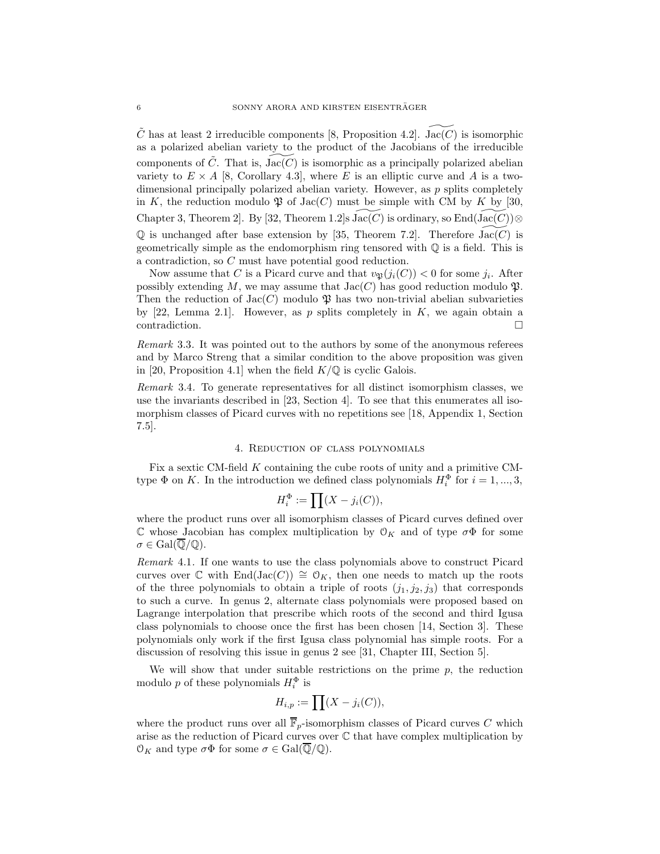C has at least 2 irreducible components [\[8,](#page-13-7) Proposition 4.2]. Jac(C) is isomorphic as a polarized abelian variety to the product of the Jacobians of the irreducible components of  $\ddot{C}$ . That is,  $Jac(C)$  is isomorphic as a principally polarized abelian variety to  $E \times A$  [\[8,](#page-13-7) Corollary 4.3], where E is an elliptic curve and A is a twodimensional principally polarized abelian variety. However, as  $p$  splits completely in K, the reduction modulo  $\mathfrak P$  of Jac(C) must be simple with CM by K by [\[30,](#page-14-8) Chapter 3, Theorem 2]. By [\[32,](#page-14-16) Theorem 1.2]s Jac( $C$ ) is ordinary, so End(Jac( $C$ ))⊗  $\mathbb Q$  is unchanged after base extension by [\[35,](#page-14-17) Theorem 7.2]. Therefore Jac(C) is geometrically simple as the endomorphism ring tensored with Q is a field. This is a contradiction, so C must have potential good reduction.

Now assume that C is a Picard curve and that  $v_{\mathfrak{P}}(j_i(C)) < 0$  for some  $j_i$ . After possibly extending M, we may assume that  $Jac(C)$  has good reduction modulo  $\mathfrak{P}$ . Then the reduction of  $Jac(C)$  modulo  $\mathfrak P$  has two non-trivial abelian subvarieties by [\[22,](#page-14-5) Lemma 2.1]. However, as p splits completely in  $K$ , we again obtain a contradiction.

Remark 3.3. It was pointed out to the authors by some of the anonymous referees and by Marco Streng that a similar condition to the above proposition was given in [\[20,](#page-14-3) Proposition 4.1] when the field  $K/\mathbb{Q}$  is cyclic Galois.

<span id="page-5-1"></span>Remark 3.4. To generate representatives for all distinct isomorphism classes, we use the invariants described in [\[23,](#page-14-1) Section 4]. To see that this enumerates all isomorphism classes of Picard curves with no repetitions see [\[18,](#page-14-13) Appendix 1, Section 7.5].

### 4. Reduction of class polynomials

<span id="page-5-0"></span>Fix a sextic CM-field K containing the cube roots of unity and a primitive CMtype  $\Phi$  on K. In the introduction we defined class polynomials  $H_i^{\Phi}$  for  $i = 1, ..., 3$ ,

$$
H_i^{\Phi} := \prod (X - j_i(C)),
$$

where the product runs over all isomorphism classes of Picard curves defined over  $\mathbb C$  whose Jacobian has complex multiplication by  $\mathcal O_K$  and of type  $\sigma\Phi$  for some  $\sigma \in \text{Gal}(\overline{\mathbb{Q}}/\mathbb{Q}).$ 

Remark 4.1. If one wants to use the class polynomials above to construct Picard curves over  $\mathbb C$  with End(Jac(C))  $\cong \mathcal O_K$ , then one needs to match up the roots of the three polynomials to obtain a triple of roots  $(j_1, j_2, j_3)$  that corresponds to such a curve. In genus 2, alternate class polynomials were proposed based on Lagrange interpolation that prescribe which roots of the second and third Igusa class polynomials to choose once the first has been chosen [\[14,](#page-14-7) Section 3]. These polynomials only work if the first Igusa class polynomial has simple roots. For a discussion of resolving this issue in genus 2 see [\[31,](#page-14-18) Chapter III, Section 5].

We will show that under suitable restrictions on the prime  $p$ , the reduction modulo p of these polynomials  $H_i^{\Phi}$  is

$$
H_{i,p} := \prod (X - j_i(C)),
$$

where the product runs over all  $\overline{\mathbb{F}}_p$ -isomorphism classes of Picard curves C which arise as the reduction of Picard curves over C that have complex multiplication by  $\mathcal{O}_K$  and type  $\sigma\Phi$  for some  $\sigma \in \text{Gal}(\overline{\mathbb{Q}}/\mathbb{Q})$ .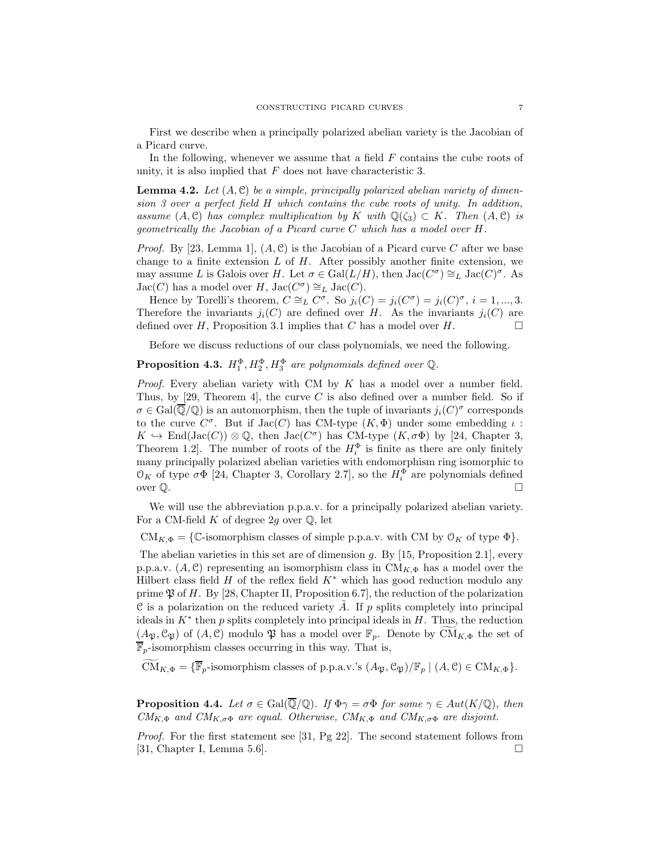First we describe when a principally polarized abelian variety is the Jacobian of a Picard curve.

In the following, whenever we assume that a field  $F$  contains the cube roots of unity, it is also implied that  $F$  does not have characteristic 3.

<span id="page-6-0"></span>**Lemma 4.2.** Let  $(A, \mathcal{C})$  be a simple, principally polarized abelian variety of dimension 3 over a perfect field H which contains the cube roots of unity. In addition, assume  $(A, \mathcal{C})$  has complex multiplication by K with  $\mathbb{Q}(\zeta_3) \subset K$ . Then  $(A, \mathcal{C})$  is geometrically the Jacobian of a Picard curve C which has a model over H.

*Proof.* By [\[23,](#page-14-1) Lemma 1],  $(A, \mathcal{C})$  is the Jacobian of a Picard curve C after we base change to a finite extension  $L$  of  $H$ . After possibly another finite extension, we may assume L is Galois over H. Let  $\sigma \in \text{Gal}(L/H)$ , then  $\text{Jac}(C^{\sigma}) \cong_L \text{Jac}(C)^{\sigma}$ . As  $\operatorname{Jac}(C)$  has a model over H,  $\operatorname{Jac}(C^{\sigma}) \cong_L \operatorname{Jac}(C)$ .

Hence by Torelli's theorem,  $C \cong_L C^{\sigma}$ . So  $j_i(C) = j_i(C^{\sigma}) = j_i(C)^{\sigma}$ ,  $i = 1, ..., 3$ . Therefore the invariants  $j_i(C)$  are defined over H. As the invariants  $j_i(C)$  are defined over H, Proposition [3.1](#page-4-1) implies that C has a model over H.

Before we discuss reductions of our class polynomials, we need the following.

# **Proposition 4.3.**  $H_1^{\Phi}, H_2^{\Phi}, H_3^{\Phi}$  are polynomials defined over  $\mathbb{Q}$ .

*Proof.* Every abelian variety with CM by  $K$  has a model over a number field. Thus, by  $[29,$  Theorem 4, the curve C is also defined over a number field. So if  $\sigma \in \text{Gal}(\overline{\mathbb{Q}}/\mathbb{Q})$  is an automorphism, then the tuple of invariants  $j_i(C)^{\sigma}$  corresponds to the curve  $C^{\sigma}$ . But if  $Jac(C)$  has CM-type  $(K, \Phi)$  under some embedding  $\iota$ :  $K \hookrightarrow \text{End}(\text{Jac}(C)) \otimes \mathbb{Q}$ , then  $\text{Jac}(C^{\sigma})$  has CM-type  $(K, \sigma \Phi)$  by [\[24,](#page-14-11) Chapter 3, Theorem 1.2. The number of roots of the  $H_i^{\Phi}$  is finite as there are only finitely many principally polarized abelian varieties with endomorphism ring isomorphic to  $\mathfrak{O}_K$  of type  $\sigma\Phi$  [\[24,](#page-14-11) Chapter 3, Corollary 2.7], so the  $H_i^{\Phi}$  are polynomials defined over  $\mathbb Q$ .

We will use the abbreviation p.p.a.v. for a principally polarized abelian variety. For a CM-field K of degree 2g over  $\mathbb{Q}$ , let

 $CM_{K,\Phi} = \{ \mathbb{C}$ -isomorphism classes of simple p.p.a.v. with CM by  $\mathcal{O}_K$  of type  $\Phi \}.$ 

The abelian varieties in this set are of dimension g. By  $[15,$  Proposition 2.1], every p.p.a.v.  $(A, \mathcal{C})$  representing an isomorphism class in CM<sub>K, $\Phi$ </sub> has a model over the Hilbert class field  $H$  of the reflex field  $K^*$  which has good reduction modulo any prime  $\mathfrak P$  of H. By [\[28,](#page-14-9) Chapter II, Proposition 6.7], the reduction of the polarization C is a polarization on the reduced variety A. If p splits completely into principal ideals in  $K^*$  then p splits completely into principal ideals in  $H$ . Thus, the reduction  $(A_{\mathfrak{P}}, \mathcal{C}_{\mathfrak{P}})$  of  $(A, \mathcal{C})$  modulo  $\mathfrak{P}$  has a model over  $\mathbb{F}_p$ . Denote by  $CM_{K, \Phi}$  the set of  $\overline{\mathbb{F}}_p$ -isomorphism classes occurring in this way. That is,

 $\widetilde{\mathrm{CM}}_{K,\Phi} = \{ \overline{\mathbb{F}}_p$ -isomorphism classes of p.p.a.v.'s  $(A_{\mathfrak{P}}, \mathfrak{C}_{\mathfrak{P}})/\mathbb{F}_p \mid (A, \mathfrak{C}) \in \mathrm{CM}_{K,\Phi} \}.$ 

<span id="page-6-1"></span>**Proposition 4.4.** Let  $\sigma \in \text{Gal}(\overline{\mathbb{Q}}/\mathbb{Q})$ . If  $\Phi \gamma = \sigma \Phi$  for some  $\gamma \in Aut(K/\mathbb{Q})$ , then  $CM_{K,\Phi}$  and  $CM_{K,\sigma\Phi}$  are equal. Otherwise,  $CM_{K,\Phi}$  and  $CM_{K,\sigma\Phi}$  are disjoint.

Proof. For the first statement see [\[31,](#page-14-18) Pg 22]. The second statement follows from [\[31,](#page-14-18) Chapter I, Lemma 5.6].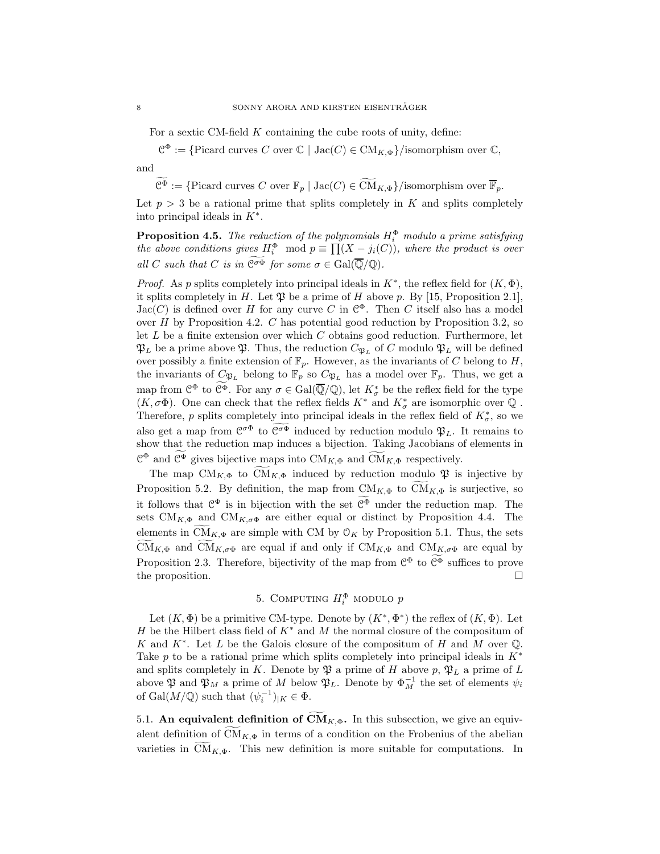For a sextic CM-field  $K$  containing the cube roots of unity, define:

 $\mathcal{C}^{\Phi} := \{ \text{Picard curves } C \text{ over } \mathbb{C} \mid \text{Jac}(C) \in \text{CM}_{K,\Phi} \} / \text{isomorphism over } \mathbb{C},$ 

and

 $\widetilde{\mathcal{C}^{\Phi}} := \{ \text{Picard curves } C \text{ over } \mathbb{F}_p \mid \text{Jac}(C) \in \widetilde{\text{CM}}_{K,\Phi} \} / \text{isomorphism over } \overline{\mathbb{F}}_p.$ 

Let  $p > 3$  be a rational prime that splits completely in K and splits completely into principal ideals in  $K^*$ .

<span id="page-7-1"></span>**Proposition 4.5.** The reduction of the polynomials  $H_i^{\Phi}$  modulo a prime satisfying the above conditions gives  $H_i^{\Phi} \mod p \equiv \prod_{i=1}^{n} (X - j_i(C))$ , where the product is over all C such that C is in  $\widetilde{\mathcal{C}^{\sigma \Phi}}$  for some  $\sigma \in \text{Gal}(\overline{\mathbb{Q}}/\mathbb{Q})$ .

*Proof.* As p splits completely into principal ideals in  $K^*$ , the reflex field for  $(K, \Phi)$ , it splits completely in H. Let  $\mathfrak P$  be a prime of H above p. By [\[15,](#page-14-10) Proposition 2.1],  $Jac(C)$  is defined over H for any curve C in  $\mathcal{C}^{\Phi}$ . Then C itself also has a model over  $H$  by Proposition [4.2.](#page-6-0)  $C$  has potential good reduction by Proposition [3.2,](#page-4-2) so let  $L$  be a finite extension over which  $C$  obtains good reduction. Furthermore, let  $\mathfrak{P}_L$  be a prime above  $\mathfrak{P}$ . Thus, the reduction  $C_{\mathfrak{P}_L}$  of C modulo  $\mathfrak{P}_L$  will be defined over possibly a finite extension of  $\mathbb{F}_p$ . However, as the invariants of C belong to H, the invariants of  $C_{\mathfrak{P}_L}$  belong to  $\mathbb{F}_p$  so  $C_{\mathfrak{P}_L}$  has a model over  $\mathbb{F}_p$ . Thus, we get a map from  $\mathcal{C}^{\Phi}$  to  $\overline{\mathcal{C}^{\Phi}}$ . For any  $\sigma \in \text{Gal}(\overline{\mathbb{Q}}/\mathbb{Q})$ , let  $K_{\sigma}^{*}$  be the reflex field for the type  $(K,\sigma\Phi).$  One can check that the reflex fields  $K^*$  and  $K^*_\sigma$  are isomorphic over  $\mathbb Q$  . Therefore, p splits completely into principal ideals in the reflex field of  $K^*_{\sigma}$ , so we also get a map from  $\mathcal{C}^{\sigma\Phi}$  to  $\mathcal{C}^{\sigma\Phi}$  induced by reduction modulo  $\mathfrak{P}_L$ . It remains to show that the reduction map induces a bijection. Taking Jacobians of elements in  $\mathbb{C}^{\Phi}$  and  $\overline{\mathbb{C}^{\Phi}}$  gives bijective maps into  $\mathrm{CM}_{K,\Phi}$  and  $\widetilde{\mathrm{CM}}_{K,\Phi}$  respectively.

The map  $CM_{K,\Phi}$  to  $CM_{K,\Phi}$  induced by reduction modulo  $\mathfrak{P}$  is injective by Proposition [5.2.](#page-8-0) By definition, the map from  $CM_{K,\Phi}$  to  $\widetilde{CM}_{K,\Phi}$  is surjective, so it follows that  $\mathcal{C}^{\Phi}$  is in bijection with the set  $\mathcal{C}^{\Phi}$  under the reduction map. The sets  $CM_{K,\Phi}$  and  $CM_{K,\sigma\Phi}$  are either equal or distinct by Proposition [4.4.](#page-6-1) The elements in CM<sub>K, $\Phi$ </sub> are simple with CM by  $\mathcal{O}_K$  by Proposition [5.1.](#page-8-1) Thus, the sets CM<sub>K,Φ</sub> and CM<sub>K,σΦ</sub> are equal if and only if CM<sub>K,Φ</sub> and CM<sub>K,σΦ</sub> are equal by Proposition [2.3.](#page-2-2) Therefore, bijectivity of the map from  $\mathcal{C}^{\Phi}$  to  $\mathcal{C}^{\Phi}$  suffices to prove the proposition.

# 5. COMPUTING  $H_i^{\Phi}$  modulo  $p$

<span id="page-7-0"></span>Let  $(K, \Phi)$  be a primitive CM-type. Denote by  $(K^*, \Phi^*)$  the reflex of  $(K, \Phi)$ . Let H be the Hilbert class field of  $K^*$  and M the normal closure of the compositum of K and  $K^*$ . Let L be the Galois closure of the compositum of H and M over Q. Take p to be a rational prime which splits completely into principal ideals in  $K^*$ and splits completely in K. Denote by  $\mathfrak{P}$  a prime of H above p,  $\mathfrak{P}_L$  a prime of L above  $\mathfrak{P}$  and  $\mathfrak{P}_M$  a prime of M below  $\mathfrak{P}_L$ . Denote by  $\Phi_M^{-1}$  the set of elements  $\psi_i$ of Gal $(M/\mathbb{Q})$  such that  $(\psi_i^{-1})_{|K} \in \Phi$ .

5.1. An equivalent definition of  $CM_{K,\Phi}$ . In this subsection, we give an equivalent definition of  $CM_{K,\Phi}$  in terms of a condition on the Frobenius of the abelian varieties in  $CM_{K,\Phi}$ . This new definition is more suitable for computations. In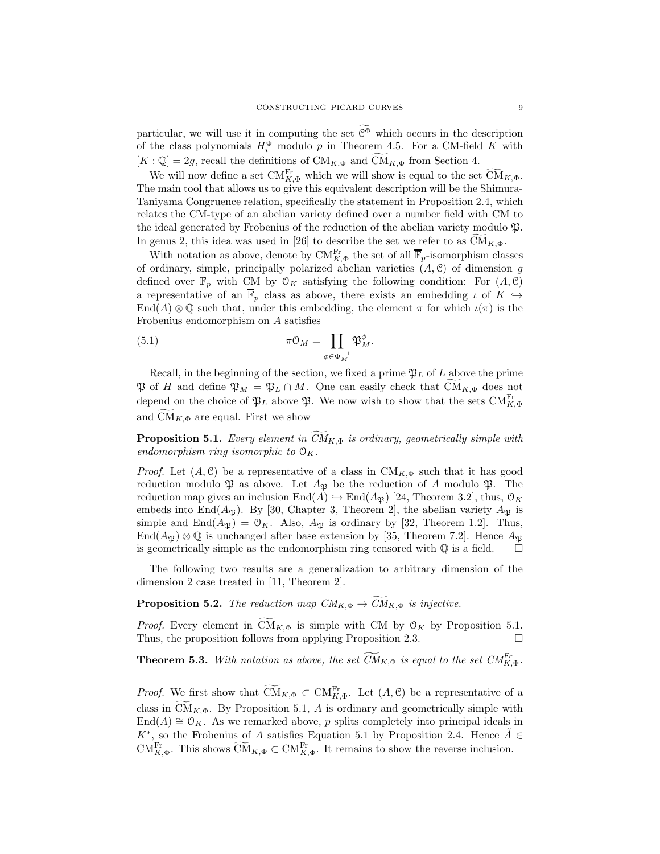particular, we will use it in computing the set  $\widetilde{\mathcal{C}^{\Phi}}$  which occurs in the description of the class polynomials  $H_i^{\Phi}$  modulo p in Theorem [4.5.](#page-7-1) For a CM-field K with  $[K: \mathbb{Q}] = 2g$ , recall the definitions of  $\text{CM}_{K, \Phi}$  and  $\widetilde{\text{CM}}_{K, \Phi}$  from Section [4.](#page-5-0)

We will now define a set  $CM_{K,\Phi}^{\text{Fr}}$  which we will show is equal to the set  $\widetilde{\text{CM}}_{K,\Phi}$ . The main tool that allows us to give this equivalent description will be the Shimura-Taniyama Congruence relation, specifically the statement in Proposition [2.4,](#page-3-0) which relates the CM-type of an abelian variety defined over a number field with CM to the ideal generated by Frobenius of the reduction of the abelian variety modulo  $\mathfrak{P}$ . In genus 2, this idea was used in [\[26\]](#page-14-6) to describe the set we refer to as  $CM_{K,\Phi}$ .

With notation as above, denote by  $\mathrm{CM}_{K,\Phi}^{\mathrm{Fr}}$  the set of all  $\overline{\mathbb{F}}_p$ -isomorphism classes of ordinary, simple, principally polarized abelian varieties  $(A, \mathcal{C})$  of dimension g defined over  $\mathbb{F}_p$  with CM by  $\mathcal{O}_K$  satisfying the following condition: For  $(A, \mathcal{C})$ a representative of an  $\overline{\mathbb{F}}_p$  class as above, there exists an embedding  $\iota$  of  $K \hookrightarrow$  $\text{End}(A) \otimes \mathbb{Q}$  such that, under this embedding, the element  $\pi$  for which  $\iota(\pi)$  is the Frobenius endomorphism on A satisfies

<span id="page-8-2"></span>(5.1) 
$$
\pi \mathcal{O}_M = \prod_{\phi \in \Phi_M^{-1}} \mathfrak{P}_M^{\phi}.
$$

Recall, in the beginning of the section, we fixed a prime  $\mathfrak{P}_L$  of L above the prime  $\mathfrak{P}$  of H and define  $\mathfrak{P}_M = \mathfrak{P}_L \cap M$ . One can easily check that  $\mathrm{CM}_{K,\Phi}$  does not depend on the choice of  $\mathfrak{P}_L$  above  $\mathfrak{P}$ . We now wish to show that the sets  $CM_{K, \Phi}^{\text{Fr}}$ and  $CM_{K,\Phi}$  are equal. First we show

<span id="page-8-1"></span>**Proposition 5.1.** Every element in  $CM_{K,\Phi}$  is ordinary, geometrically simple with endomorphism ring isomorphic to  $\mathcal{O}_K$ .

*Proof.* Let  $(A, \mathcal{C})$  be a representative of a class in  $CM_{K, \Phi}$  such that it has good reduction modulo  $\mathfrak P$  as above. Let  $A_{\mathfrak P}$  be the reduction of A modulo  $\mathfrak P$ . The reduction map gives an inclusion  $\text{End}(A) \hookrightarrow \text{End}(A_{\mathfrak{B}})$  [\[24,](#page-14-11) Theorem 3.2], thus,  $\mathcal{O}_K$ embeds into End $(A_{\mathfrak{P}})$ . By [\[30,](#page-14-8) Chapter 3, Theorem 2], the abelian variety  $A_{\mathfrak{P}}$  is simple and  $\text{End}(A_{\mathfrak{P}}) = \mathfrak{O}_K$ . Also,  $A_{\mathfrak{P}}$  is ordinary by [\[32,](#page-14-16) Theorem 1.2]. Thus, End $(A_{\mathfrak{B}}) \otimes \mathbb{Q}$  is unchanged after base extension by [\[35,](#page-14-17) Theorem 7.2]. Hence  $A_{\mathfrak{B}}$ is geometrically simple as the endomorphism ring tensored with  $\mathbb Q$  is a field.  $\Box$ 

The following two results are a generalization to arbitrary dimension of the dimension 2 case treated in [\[11,](#page-13-3) Theorem 2].

<span id="page-8-0"></span>**Proposition 5.2.** The reduction map  $CM_{K,\Phi} \rightarrow \widetilde{CM}_{K,\Phi}$  is injective.

*Proof.* Every element in  $CM_{K,\Phi}$  is simple with CM by  $\mathcal{O}_K$  by Proposition [5.1.](#page-8-1) Thus, the proposition follows from applying Proposition [2.3.](#page-2-2)

<span id="page-8-3"></span>**Theorem 5.3.** With notation as above, the set  $\widetilde{CM}_{K, \Phi}$  is equal to the set  $CM_{K, \Phi}^{Fr}$ .

*Proof.* We first show that  $\widetilde{\mathrm{CM}}_{K,\Phi} \subset \mathrm{CM}_{K,\Phi}^{\mathrm{Fr}}$ . Let  $(A,\mathcal{C})$  be a representative of a class in  $CM_{K,\Phi}$ . By Proposition [5.1,](#page-8-1) A is ordinary and geometrically simple with  $\text{End}(A) \cong \mathcal{O}_K$ . As we remarked above, p splits completely into principal ideals in  $K^*$ , so the Frobenius of A satisfies Equation [5.1](#page-8-2) by Proposition [2.4.](#page-3-0) Hence  $\tilde{A} \in$ CM<sup>Fr</sup><sub>K, $\Phi$ </sub>. This shows  $\widetilde{\text{CM}}_{K,\Phi} \subset \text{CM}_{K,\Phi}^{\text{Fr}}$ . It remains to show the reverse inclusion.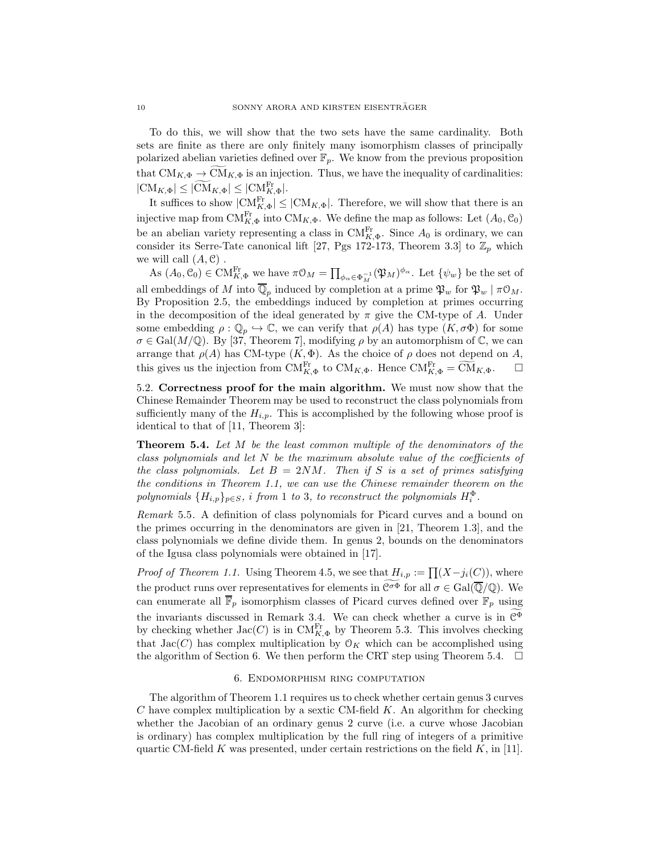To do this, we will show that the two sets have the same cardinality. Both sets are finite as there are only finitely many isomorphism classes of principally polarized abelian varieties defined over  $\mathbb{F}_p$ . We know from the previous proposition that  $CM_{K,\Phi} \to \widetilde{CM}_{K,\Phi}$  is an injection. Thus, we have the inequality of cardinalities:  $|\text{CM}_{K,\Phi}| \leq |\widetilde{\text{CM}}_{K,\Phi}| \leq |\text{CM}_{K,\Phi}^{\text{Fr}}|.$ 

It suffices to show  $|CM_{K,\Phi}^{Fr}| \leq |CM_{K,\Phi}|$ . Therefore, we will show that there is an injective map from  $\text{CM}_{K,\Phi}^{\text{Fr}}$  into  $\text{CM}_{K,\Phi}$ . We define the map as follows: Let  $(A_0, \mathcal{C}_0)$ be an abelian variety representing a class in  $\text{CM}_{K,\Phi}^{\text{Fr}}$ . Since  $A_0$  is ordinary, we can consider its Serre-Tate canonical lift [\[27,](#page-14-20) Pgs 172-173, Theorem 3.3] to  $\mathbb{Z}_p$  which we will call  $(A, \mathcal{C})$ .

As  $(A_0, \mathcal{C}_0) \in \widehat{\text{CM}}_{K, \Phi}^{\text{Fr}}$  we have  $\pi \mathcal{O}_M = \prod_{\phi_{\alpha} \in \Phi_M^{-1}} (\mathfrak{P}_M)^{\phi_{\alpha}}$ . Let  $\{\psi_w\}$  be the set of all embeddings of M into  $\overline{\mathbb{Q}}_p$  induced by completion at a prime  $\mathfrak{P}_w$  for  $\mathfrak{P}_w \mid \pi \mathfrak{O}_M$ . By Proposition [2.5,](#page-4-3) the embeddings induced by completion at primes occurring in the decomposition of the ideal generated by  $\pi$  give the CM-type of A. Under some embedding  $\rho : \mathbb{Q}_p \hookrightarrow \mathbb{C}$ , we can verify that  $\rho(A)$  has type  $(K, \sigma \Phi)$  for some  $\sigma \in \text{Gal}(M/\mathbb{Q})$ . By [\[37,](#page-14-21) Theorem 7], modifying  $\rho$  by an automorphism of  $\mathbb{C}$ , we can arrange that  $\rho(A)$  has CM-type  $(K, \Phi)$ . As the choice of  $\rho$  does not depend on A, this gives us the injection from  $\text{CM}_{K,\Phi}^{\text{Fr}}$  to  $\text{CM}_{K,\Phi}$ . Hence  $\text{CM}_{K,\Phi}^{\text{Fr}} = \widetilde{\text{CM}}_{K,\Phi}$ .  $\square$ 

5.2. Correctness proof for the main algorithm. We must now show that the Chinese Remainder Theorem may be used to reconstruct the class polynomials from sufficiently many of the  $H_{i,p}$ . This is accomplished by the following whose proof is identical to that of [\[11,](#page-13-3) Theorem 3]:

<span id="page-9-0"></span>Theorem 5.4. Let M be the least common multiple of the denominators of the class polynomials and let  $N$  be the maximum absolute value of the coefficients of the class polynomials. Let  $B = 2NM$ . Then if S is a set of primes satisfying the conditions in Theorem [1.1,](#page-2-1) we can use the Chinese remainder theorem on the polynomials  $\{H_{i,p}\}_{p\in S}$ , i from 1 to 3, to reconstruct the polynomials  $H_i^{\Phi}$ .

Remark 5.5. A definition of class polynomials for Picard curves and a bound on the primes occurring in the denominators are given in [\[21,](#page-14-15) Theorem 1.3], and the class polynomials we define divide them. In genus 2, bounds on the denominators of the Igusa class polynomials were obtained in [\[17\]](#page-14-22).

*Proof of Theorem [1.1.](#page-2-1)* Using Theorem [4.5,](#page-7-1) we see that  $H_{i,p} := \prod (X - j_i(C))$ , where the product runs over representatives for elements in  $\mathfrak{C}^{\sigma\Phi}$  for all  $\sigma \in \text{Gal}(\overline{\mathbb{Q}}/\mathbb{Q})$ . We can enumerate all  $\overline{\mathbb{F}}_p$  isomorphism classes of Picard curves defined over  $\mathbb{F}_p$  using the invariants discussed in Remark [3.4.](#page-5-1) We can check whether a curve is in  $\mathcal{C}^{\Phi}$ by checking whether  $\text{Jac}(C)$  is in  $\text{CM}_{K,\Phi}^{\text{Fr}}$  by Theorem [5.3.](#page-8-3) This involves checking that  $Jac(C)$  has complex multiplication by  $\mathcal{O}_K$  which can be accomplished using the algorithm of Section [6.](#page-9-1) We then perform the CRT step using Theorem [5.4.](#page-9-0)  $\Box$ 

### 6. Endomorphism ring computation

<span id="page-9-1"></span>The algorithm of Theorem [1.1](#page-2-1) requires us to check whether certain genus 3 curves  $C$  have complex multiplication by a sextic CM-field  $K$ . An algorithm for checking whether the Jacobian of an ordinary genus 2 curve (i.e. a curve whose Jacobian is ordinary) has complex multiplication by the full ring of integers of a primitive quartic CM-field K was presented, under certain restrictions on the field  $K$ , in [\[11\]](#page-13-3).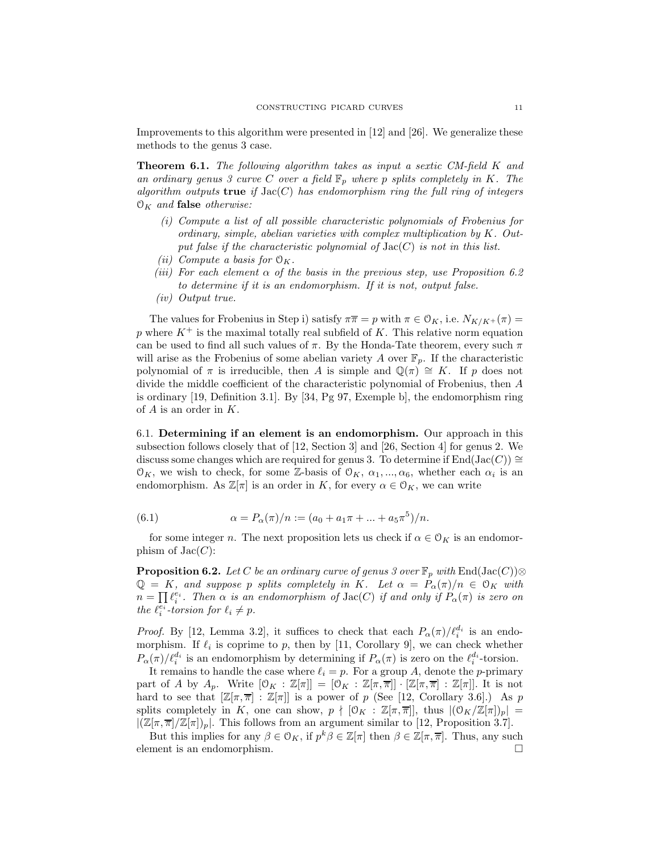Improvements to this algorithm were presented in [\[12\]](#page-13-4) and [\[26\]](#page-14-6). We generalize these methods to the genus 3 case.

**Theorem 6.1.** The following algorithm takes as input a sextic CM-field K and an ordinary genus 3 curve C over a field  $\mathbb{F}_p$  where p splits completely in K. The algorithm outputs true if  $Jac(C)$  has endomorphism ring the full ring of integers  $\mathcal{O}_K$  and false otherwise:

- (i) Compute a list of all possible characteristic polynomials of Frobenius for ordinary, simple, abelian varieties with complex multiplication by K. Output false if the characteristic polynomial of  $Jac(C)$  is not in this list.
- (ii) Compute a basis for  $\mathfrak{O}_K$ .
- (iii) For each element  $\alpha$  of the basis in the previous step, use Proposition [6.2](#page-10-0) to determine if it is an endomorphism. If it is not, output false.
- (iv) Output true.

The values for Frobenius in Step i) satisfy  $\pi \overline{n} = p$  with  $\pi \in \mathcal{O}_K$ , i.e.  $N_{K/K^+}(\pi) =$ p where  $K^+$  is the maximal totally real subfield of K. This relative norm equation can be used to find all such values of  $\pi$ . By the Honda-Tate theorem, every such  $\pi$ will arise as the Frobenius of some abelian variety A over  $\mathbb{F}_p$ . If the characteristic polynomial of  $\pi$  is irreducible, then A is simple and  $\mathbb{Q}(\pi) \cong K$ . If p does not divide the middle coefficient of the characteristic polynomial of Frobenius, then A is ordinary [\[19,](#page-14-23) Definition 3.1]. By [\[34,](#page-14-12) Pg 97, Exemple b], the endomorphism ring of  $A$  is an order in  $K$ .

6.1. Determining if an element is an endomorphism. Our approach in this subsection follows closely that of [\[12,](#page-13-4) Section 3] and [\[26,](#page-14-6) Section 4] for genus 2. We discuss some changes which are required for genus 3. To determine if  $\text{End}(\text{Jac}(C)) \cong$  $\mathcal{O}_K$ , we wish to check, for some Z-basis of  $\mathcal{O}_K$ ,  $\alpha_1, ..., \alpha_6$ , whether each  $\alpha_i$  is an endomorphism. As  $\mathbb{Z}[\pi]$  is an order in K, for every  $\alpha \in \mathcal{O}_K$ , we can write

(6.1) 
$$
\alpha = P_{\alpha}(\pi)/n := (a_0 + a_1\pi + ... + a_5\pi^5)/n.
$$

for some integer n. The next proposition lets us check if  $\alpha \in \mathcal{O}_K$  is an endomorphism of  $Jac(C)$ :

<span id="page-10-0"></span>**Proposition 6.2.** Let C be an ordinary curve of genus 3 over  $\mathbb{F}_p$  with  $\text{End}(\text{Jac}(C))\otimes$  $\mathbb{Q} = K$ , and suppose p splits completely in K. Let  $\alpha = P_{\alpha}(\pi)/n \in \mathcal{O}_K$  with  $n = \prod \ell_i^{e_i}$ . Then  $\alpha$  is an endomorphism of  $\text{Jac}(C)$  if and only if  $P_\alpha(\pi)$  is zero on the  $\ell_i^{\overline{e_i}}$ -torsion for  $\ell_i \neq p$ .

*Proof.* By [\[12,](#page-13-4) Lemma 3.2], it suffices to check that each  $P_{\alpha}(\pi)/\ell_i^{d_i}$  is an endomorphism. If  $\ell_i$  is coprime to p, then by [\[11,](#page-13-3) Corollary 9], we can check whether  $P_\alpha(\pi)/\ell_i^{d_i}$  is an endomorphism by determining if  $P_\alpha(\pi)$  is zero on the  $\ell_i^{d_i}$ -torsion.

It remains to handle the case where  $\ell_i = p$ . For a group A, denote the p-primary part of A by  $A_p$ . Write  $[0_K : \mathbb{Z}[\pi]] = [0_K : \mathbb{Z}[\pi,\overline{\pi}] \cdot [\mathbb{Z}[\pi,\overline{\pi}] : \mathbb{Z}[\pi]]$ . It is not hard to see that  $[\mathbb{Z}[\pi,\overline{\pi}] : \mathbb{Z}[\pi]]$  is a power of p (See [\[12,](#page-13-4) Corollary 3.6].) As p splits completely in K, one can show,  $p \nmid [\mathcal{O}_K : \mathbb{Z}[\pi,\overline{\pi}]]$ , thus  $|(\mathcal{O}_K/\mathbb{Z}[\pi])_p|$  $|(\mathbb{Z}[\pi,\overline{\pi}]/\mathbb{Z}[\pi])_p|$ . This follows from an argument similar to [\[12,](#page-13-4) Proposition 3.7].

But this implies for any  $\beta \in \mathcal{O}_K$ , if  $p^k \beta \in \mathbb{Z}[\pi]$  then  $\beta \in \mathbb{Z}[\pi, \overline{\pi}]$ . Thus, any such element is an endomorphism.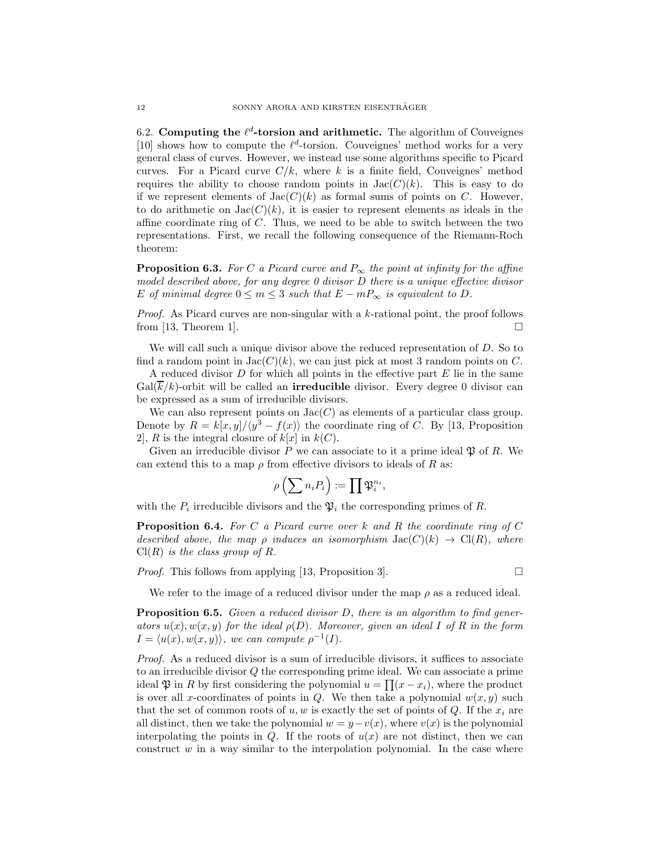6.2. Computing the  $\ell^d$ -torsion and arithmetic. The algorithm of Couveignes [\[10\]](#page-13-8) shows how to compute the  $\ell^d$ -torsion. Couveignes' method works for a very general class of curves. However, we instead use some algorithms specific to Picard curves. For a Picard curve  $C/k$ , where k is a finite field, Couveignes' method requires the ability to choose random points in  $Jac(C)(k)$ . This is easy to do if we represent elements of  $Jac(C)(k)$  as formal sums of points on C. However, to do arithmetic on  $Jac(C)(k)$ , it is easier to represent elements as ideals in the affine coordinate ring of  $C$ . Thus, we need to be able to switch between the two representations. First, we recall the following consequence of the Riemann-Roch theorem:

**Proposition 6.3.** For C a Picard curve and  $P_{\infty}$  the point at infinity for the affine model described above, for any degree 0 divisor D there is a unique effective divisor E of minimal degree  $0 \le m \le 3$  such that  $E - mP_{\infty}$  is equivalent to D.

Proof. As Picard curves are non-singular with a k-rational point, the proof follows from [\[13,](#page-13-9) Theorem 1].  $\Box$ 

We will call such a unique divisor above the reduced representation of D. So to find a random point in  $Jac(C)(k)$ , we can just pick at most 3 random points on C.

A reduced divisor  $D$  for which all points in the effective part  $E$  lie in the same  $Gal(k/k)$ -orbit will be called an **irreducible** divisor. Every degree 0 divisor can be expressed as a sum of irreducible divisors.

We can also represent points on  $Jac(C)$  as elements of a particular class group. Denote by  $R = k[x, y]/\langle y^3 - f(x) \rangle$  the coordinate ring of C. By [\[13,](#page-13-9) Proposition 2, R is the integral closure of  $k[x]$  in  $k(C)$ .

Given an irreducible divisor P we can associate to it a prime ideal  $\mathfrak{P}$  of R. We can extend this to a map  $\rho$  from effective divisors to ideals of R as:

$$
\rho\left(\sum n_i P_i\right) := \prod \mathfrak{P}_i^{n_i},
$$

with the  $P_i$  irreducible divisors and the  $\mathfrak{P}_i$  the corresponding primes of R.

**Proposition 6.4.** For C a Picard curve over k and R the coordinate ring of C described above, the map  $\rho$  induces an isomorphism  $Jac(C)(k) \rightarrow Cl(R)$ , where  $Cl(R)$  is the class group of R.

*Proof.* This follows from applying [\[13,](#page-13-9) Proposition 3].  $\Box$ 

We refer to the image of a reduced divisor under the map  $\rho$  as a reduced ideal.

**Proposition 6.5.** Given a reduced divisor  $D$ , there is an algorithm to find generators  $u(x), w(x, y)$  for the ideal  $\rho(D)$ . Moreover, given an ideal I of R in the form  $I = \langle u(x), w(x, y) \rangle$ , we can compute  $\rho^{-1}(I)$ .

Proof. As a reduced divisor is a sum of irreducible divisors, it suffices to associate to an irreducible divisor Q the corresponding prime ideal. We can associate a prime ideal  $\mathfrak P$  in R by first considering the polynomial  $u = \prod (x - x_i)$ , where the product is over all x-coordinates of points in Q. We then take a polynomial  $w(x, y)$  such that the set of common roots of  $u, w$  is exactly the set of points of Q. If the  $x_i$  are all distinct, then we take the polynomial  $w = y - v(x)$ , where  $v(x)$  is the polynomial interpolating the points in Q. If the roots of  $u(x)$  are not distinct, then we can construct  $w$  in a way similar to the interpolation polynomial. In the case where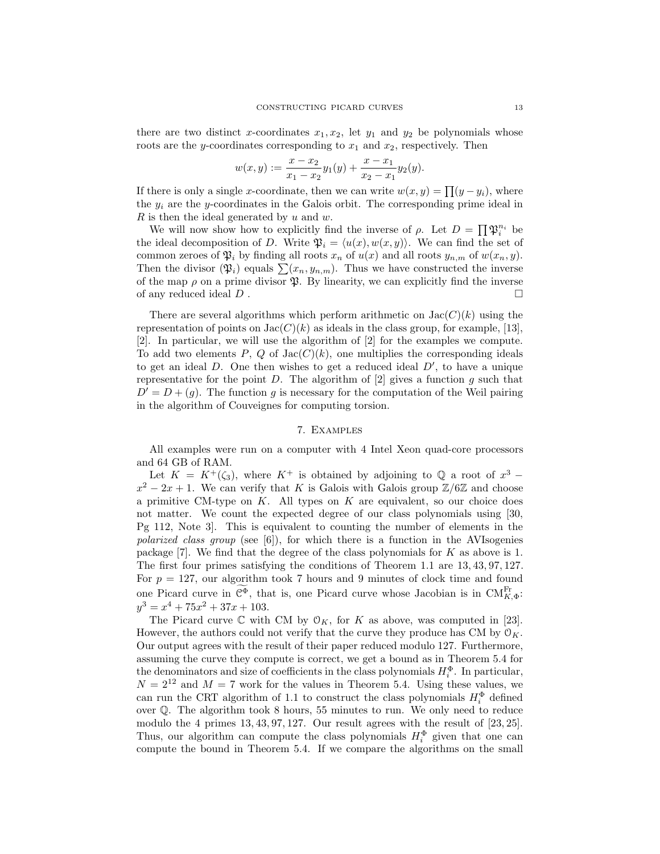there are two distinct x-coordinates  $x_1, x_2$ , let  $y_1$  and  $y_2$  be polynomials whose roots are the y-coordinates corresponding to  $x_1$  and  $x_2$ , respectively. Then

$$
w(x,y) := \frac{x - x_2}{x_1 - x_2}y_1(y) + \frac{x - x_1}{x_2 - x_1}y_2(y).
$$

If there is only a single x-coordinate, then we can write  $w(x, y) = \prod(y - y_i)$ , where the  $y_i$  are the y-coordinates in the Galois orbit. The corresponding prime ideal in R is then the ideal generated by  $u$  and  $w$ .

We will now show how to explicitly find the inverse of  $\rho$ . Let  $D = \prod \mathfrak{P}_i^{n_i}$  be the ideal decomposition of D. Write  $\mathfrak{P}_i = \langle u(x), w(x, y) \rangle$ . We can find the set of common zeroes of  $\mathfrak{P}_i$  by finding all roots  $x_n$  of  $u(x)$  and all roots  $y_{n,m}$  of  $w(x_n, y)$ . Then the divisor  $(\mathfrak{P}_i)$  equals  $\sum (x_n, y_{n,m})$ . Thus we have constructed the inverse of the map  $\rho$  on a prime divisor  $\mathfrak{P}$ . By linearity, we can explicitly find the inverse of any reduced ideal  $D$ .

There are several algorithms which perform arithmetic on  $Jac(C)(k)$  using the representation of points on  $Jac(C)(k)$  as ideals in the class group, for example, [\[13\]](#page-13-9), [\[2\]](#page-13-10). In particular, we will use the algorithm of [\[2\]](#page-13-10) for the examples we compute. To add two elements  $P$ ,  $Q$  of  $Jac(C)(k)$ , one multiplies the corresponding ideals to get an ideal  $D$ . One then wishes to get a reduced ideal  $D'$ , to have a unique representative for the point  $D$ . The algorithm of  $[2]$  gives a function  $g$  such that  $D' = D + (q)$ . The function g is necessary for the computation of the Weil pairing in the algorithm of Couveignes for computing torsion.

#### 7. Examples

<span id="page-12-0"></span>All examples were run on a computer with 4 Intel Xeon quad-core processors and 64 GB of RAM.

Let  $K = K^+(\zeta_3)$ , where  $K^+$  is obtained by adjoining to Q a root of  $x^3$  –  $x^2 - 2x + 1$ . We can verify that K is Galois with Galois group  $\mathbb{Z}/6\mathbb{Z}$  and choose a primitive CM-type on  $K$ . All types on  $K$  are equivalent, so our choice does not matter. We count the expected degree of our class polynomials using [\[30,](#page-14-8) Pg 112, Note 3]. This is equivalent to counting the number of elements in the polarized class group (see  $[6]$ ), for which there is a function in the AVIsogenies package [\[7\]](#page-13-12). We find that the degree of the class polynomials for K as above is 1. The first four primes satisfying the conditions of Theorem [1.1](#page-2-1) are 13, 43, 97, 127. For  $p = 127$ , our algorithm took 7 hours and 9 minutes of clock time and found one Picard curve in  $\widetilde{C}^{\Phi}$ , that is, one Picard curve whose Jacobian is in  $\mathrm{CM}_{K,\Phi}^{\mathrm{Fr}}$ :  $y^3 = x^4 + 75x^2 + 37x + 103.$ 

The Picard curve  $\mathbb C$  with CM by  $\mathcal O_K$ , for K as above, was computed in [\[23\]](#page-14-1). However, the authors could not verify that the curve they produce has CM by  $\mathcal{O}_K$ . Our output agrees with the result of their paper reduced modulo 127. Furthermore, assuming the curve they compute is correct, we get a bound as in Theorem [5.4](#page-9-0) for the denominators and size of coefficients in the class polynomials  $H_i^{\Phi}$ . In particular,  $N = 2^{12}$  and  $M = 7$  work for the values in Theorem [5.4.](#page-9-0) Using these values, we can run the CRT algorithm of [1.1](#page-2-1) to construct the class polynomials  $H_i^{\Phi}$  defined over Q. The algorithm took 8 hours, 55 minutes to run. We only need to reduce modulo the 4 primes 13, 43, 97, 127. Our result agrees with the result of [\[23,](#page-14-1) [25\]](#page-14-2). Thus, our algorithm can compute the class polynomials  $H_i^{\Phi}$  given that one can compute the bound in Theorem [5.4.](#page-9-0) If we compare the algorithms on the small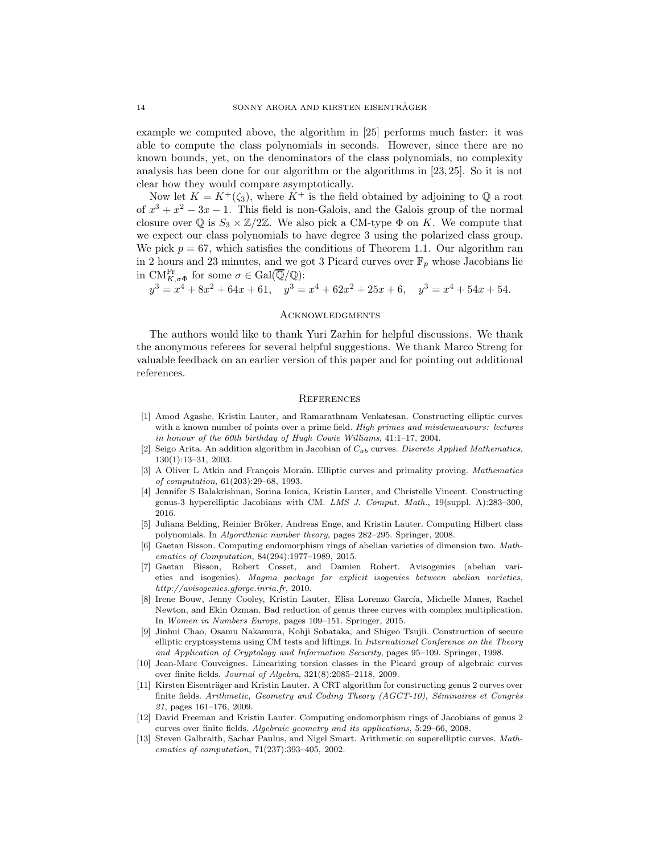example we computed above, the algorithm in [\[25\]](#page-14-2) performs much faster: it was able to compute the class polynomials in seconds. However, since there are no known bounds, yet, on the denominators of the class polynomials, no complexity analysis has been done for our algorithm or the algorithms in [\[23,](#page-14-1) [25\]](#page-14-2). So it is not clear how they would compare asymptotically.

Now let  $K = K^+(\zeta_3)$ , where  $K^+$  is the field obtained by adjoining to Q a root of  $x^3 + x^2 - 3x - 1$ . This field is non-Galois, and the Galois group of the normal closure over  $\mathbb Q$  is  $S_3 \times \mathbb Z/2\mathbb Z$ . We also pick a CM-type  $\Phi$  on K. We compute that we expect our class polynomials to have degree 3 using the polarized class group. We pick  $p = 67$ , which satisfies the conditions of Theorem [1.1.](#page-2-1) Our algorithm ran in 2 hours and 23 minutes, and we got 3 Picard curves over  $\mathbb{F}_p$  whose Jacobians lie in  $\mathrm{CM}^{\mathrm{Fr}}_{K,\sigma\Phi}$  for some  $\sigma \in \mathrm{Gal}(\overline{\mathbb{Q}}/\mathbb{Q})$ :

 $y^3 = x^4 + 8x^2 + 64x + 61$ ,  $y^3 = x^4 + 62x^2 + 25x + 6$ ,  $y^3 = x^4 + 54x + 54$ .

### **ACKNOWLEDGMENTS**

The authors would like to thank Yuri Zarhin for helpful discussions. We thank the anonymous referees for several helpful suggestions. We thank Marco Streng for valuable feedback on an earlier version of this paper and for pointing out additional references.

### **REFERENCES**

- <span id="page-13-2"></span>[1] Amod Agashe, Kristin Lauter, and Ramarathnam Venkatesan. Constructing elliptic curves with a known number of points over a prime field. *High primes and misdemeanours: lectures in honour of the 60th birthday of Hugh Cowie Williams*, 41:1–17, 2004.
- <span id="page-13-10"></span>[2] Seigo Arita. An addition algorithm in Jacobian of Cab curves. *Discrete Applied Mathematics*, 130(1):13–31, 2003.
- <span id="page-13-0"></span>[3] A Oliver L Atkin and François Morain. Elliptic curves and primality proving. *Mathematics of computation*, 61(203):29–68, 1993.
- <span id="page-13-5"></span>[4] Jennifer S Balakrishnan, Sorina Ionica, Kristin Lauter, and Christelle Vincent. Constructing genus-3 hyperelliptic Jacobians with CM. *LMS J. Comput. Math.*, 19(suppl. A):283–300, 2016.
- <span id="page-13-6"></span>[5] Juliana Belding, Reinier Bröker, Andreas Enge, and Kristin Lauter. Computing Hilbert class polynomials. In *Algorithmic number theory*, pages 282–295. Springer, 2008.
- <span id="page-13-11"></span>[6] Gaetan Bisson. Computing endomorphism rings of abelian varieties of dimension two. *Mathematics of Computation*, 84(294):1977–1989, 2015.
- <span id="page-13-12"></span>[7] Gaetan Bisson, Robert Cosset, and Damien Robert. Avisogenies (abelian varieties and isogenies). *Magma package for explicit isogenies between abelian varieties, http://avisogenies.gforge.inria.fr*, 2010.
- <span id="page-13-7"></span>[8] Irene Bouw, Jenny Cooley, Kristin Lauter, Elisa Lorenzo García, Michelle Manes, Rachel Newton, and Ekin Ozman. Bad reduction of genus three curves with complex multiplication. In *Women in Numbers Europe*, pages 109–151. Springer, 2015.
- <span id="page-13-1"></span>[9] Jinhui Chao, Osamu Nakamura, Kohji Sobataka, and Shigeo Tsujii. Construction of secure elliptic cryptosystems using CM tests and liftings. In *International Conference on the Theory and Application of Cryptology and Information Security*, pages 95–109. Springer, 1998.
- <span id="page-13-8"></span>[10] Jean-Marc Couveignes. Linearizing torsion classes in the Picard group of algebraic curves over finite fields. *Journal of Algebra*, 321(8):2085–2118, 2009.
- <span id="page-13-3"></span>[11] Kirsten Eisenträger and Kristin Lauter. A CRT algorithm for constructing genus 2 curves over finite fields. *Arithmetic, Geometry and Coding Theory (AGCT-10), Séminaires et Congrès 21*, pages 161–176, 2009.
- <span id="page-13-4"></span>[12] David Freeman and Kristin Lauter. Computing endomorphism rings of Jacobians of genus 2 curves over finite fields. *Algebraic geometry and its applications*, 5:29–66, 2008.
- <span id="page-13-9"></span>[13] Steven Galbraith, Sachar Paulus, and Nigel Smart. Arithmetic on superelliptic curves. *Mathematics of computation*, 71(237):393–405, 2002.